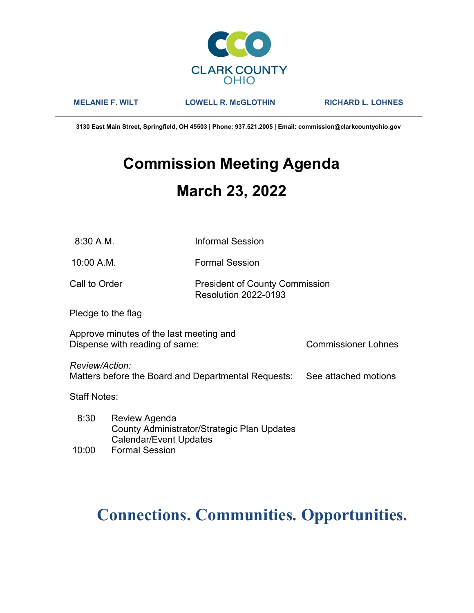

MELANIE F. WILT LOWELL R. McGLOTHIN RICHARD L. LOHNES

3130 East Main Street, Springfield, OH 45503 | Phone: 937.521.2005 | Email: commission@clarkcountyohio.gov

# Commission Meeting Agenda March 23, 2022

10:00 A.M. Formal Session

### Call to Order **President of County Commission** Resolution 2022-0193

Pledge to the flag

Approve minutes of the last meeting and Dispense with reading of same: Commissioner Lohnes

Review/Action:

Matters before the Board and Departmental Requests: See attached motions

Staff Notes:

 8:30 Review Agenda County Administrator/Strategic Plan Updates Calendar/Event Updates

## 10:00 Formal Session

# Connections. Communities. Opportunities.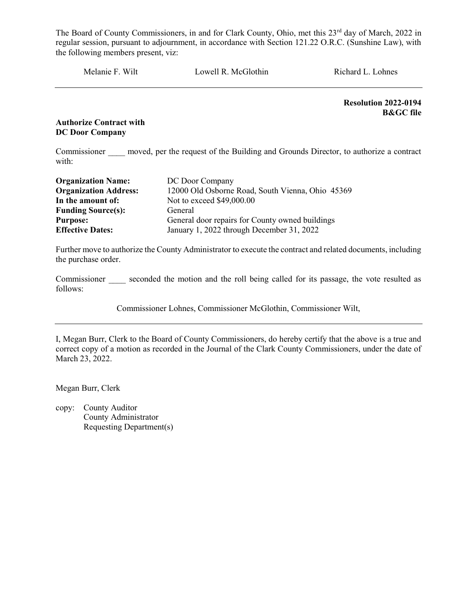Melanie F. Wilt Lowell R. McGlothin Richard L. Lohnes

Resolution 2022-0194 B&GC file

#### Authorize Contract with DC Door Company

Commissioner moved, per the request of the Building and Grounds Director, to authorize a contract with:

| <b>Organization Name:</b>    | DC Door Company                                  |
|------------------------------|--------------------------------------------------|
| <b>Organization Address:</b> | 12000 Old Osborne Road, South Vienna, Ohio 45369 |
| In the amount of:            | Not to exceed \$49,000.00                        |
| <b>Funding Source(s):</b>    | General                                          |
| <b>Purpose:</b>              | General door repairs for County owned buildings  |
| <b>Effective Dates:</b>      | January 1, 2022 through December 31, 2022        |

Further move to authorize the County Administrator to execute the contract and related documents, including the purchase order.

Commissioner seconded the motion and the roll being called for its passage, the vote resulted as follows:

Commissioner Lohnes, Commissioner McGlothin, Commissioner Wilt,

I, Megan Burr, Clerk to the Board of County Commissioners, do hereby certify that the above is a true and correct copy of a motion as recorded in the Journal of the Clark County Commissioners, under the date of March 23, 2022.

Megan Burr, Clerk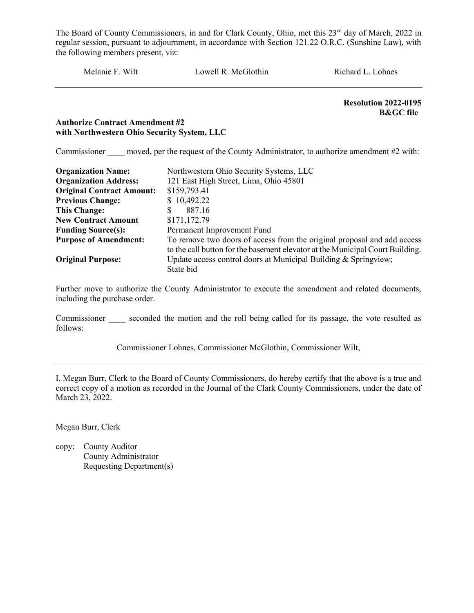Melanie F. Wilt Lowell R. McGlothin Richard L. Lohnes

Resolution 2022-0195 B&GC file

#### Authorize Contract Amendment #2 with Northwestern Ohio Security System, LLC

Commissioner moved, per the request of the County Administrator, to authorize amendment #2 with:

| <b>Organization Name:</b>        | Northwestern Ohio Security Systems, LLC                                       |  |  |  |
|----------------------------------|-------------------------------------------------------------------------------|--|--|--|
| <b>Organization Address:</b>     | 121 East High Street, Lima, Ohio 45801                                        |  |  |  |
| <b>Original Contract Amount:</b> | \$159,793.41                                                                  |  |  |  |
| <b>Previous Change:</b>          | \$10,492.22                                                                   |  |  |  |
| <b>This Change:</b>              | 887.16<br>S                                                                   |  |  |  |
| <b>New Contract Amount</b>       | \$171,172.79                                                                  |  |  |  |
| <b>Funding Source(s):</b>        | Permanent Improvement Fund                                                    |  |  |  |
| <b>Purpose of Amendment:</b>     | To remove two doors of access from the original proposal and add access       |  |  |  |
|                                  | to the call button for the basement elevator at the Municipal Court Building. |  |  |  |
| <b>Original Purpose:</b>         | Update access control doors at Municipal Building & Springview;               |  |  |  |
|                                  | State bid                                                                     |  |  |  |

Further move to authorize the County Administrator to execute the amendment and related documents, including the purchase order.

Commissioner seconded the motion and the roll being called for its passage, the vote resulted as follows:

Commissioner Lohnes, Commissioner McGlothin, Commissioner Wilt,

I, Megan Burr, Clerk to the Board of County Commissioners, do hereby certify that the above is a true and correct copy of a motion as recorded in the Journal of the Clark County Commissioners, under the date of March 23, 2022.

Megan Burr, Clerk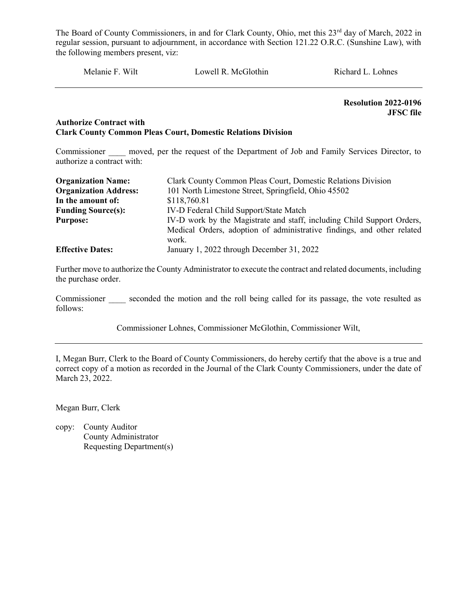Melanie F. Wilt Lowell R. McGlothin Richard L. Lohnes

Resolution 2022-0196 JFSC file

#### Authorize Contract with Clark County Common Pleas Court, Domestic Relations Division

Commissioner moved, per the request of the Department of Job and Family Services Director, to authorize a contract with:

| <b>Organization Name:</b>    | Clark County Common Pleas Court, Domestic Relations Division           |  |  |
|------------------------------|------------------------------------------------------------------------|--|--|
| <b>Organization Address:</b> | 101 North Limestone Street, Springfield, Ohio 45502                    |  |  |
| In the amount of:            | \$118,760.81                                                           |  |  |
| <b>Funding Source(s):</b>    | IV-D Federal Child Support/State Match                                 |  |  |
| <b>Purpose:</b>              | IV-D work by the Magistrate and staff, including Child Support Orders, |  |  |
|                              | Medical Orders, adoption of administrative findings, and other related |  |  |
|                              | work.                                                                  |  |  |
| <b>Effective Dates:</b>      | January 1, 2022 through December 31, 2022                              |  |  |

Further move to authorize the County Administrator to execute the contract and related documents, including the purchase order.

Commissioner seconded the motion and the roll being called for its passage, the vote resulted as follows:

Commissioner Lohnes, Commissioner McGlothin, Commissioner Wilt,

I, Megan Burr, Clerk to the Board of County Commissioners, do hereby certify that the above is a true and correct copy of a motion as recorded in the Journal of the Clark County Commissioners, under the date of March 23, 2022.

Megan Burr, Clerk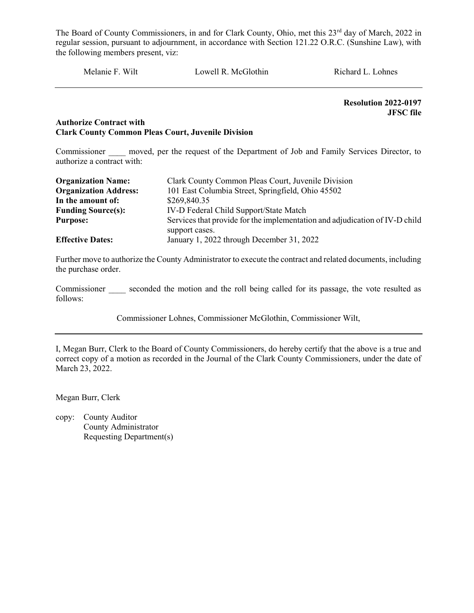Melanie F. Wilt Lowell R. McGlothin Richard L. Lohnes

Resolution 2022-0197 JFSC file

#### Authorize Contract with Clark County Common Pleas Court, Juvenile Division

Commissioner moved, per the request of the Department of Job and Family Services Director, to authorize a contract with:

| <b>Organization Name:</b>    | Clark County Common Pleas Court, Juvenile Division                          |  |  |
|------------------------------|-----------------------------------------------------------------------------|--|--|
| <b>Organization Address:</b> | 101 East Columbia Street, Springfield, Ohio 45502                           |  |  |
| In the amount of:            | \$269,840.35                                                                |  |  |
| <b>Funding Source(s):</b>    | IV-D Federal Child Support/State Match                                      |  |  |
| <b>Purpose:</b>              | Services that provide for the implementation and adjudication of IV-D child |  |  |
|                              | support cases.                                                              |  |  |
| <b>Effective Dates:</b>      | January 1, 2022 through December 31, 2022                                   |  |  |

Further move to authorize the County Administrator to execute the contract and related documents, including the purchase order.

Commissioner seconded the motion and the roll being called for its passage, the vote resulted as follows:

Commissioner Lohnes, Commissioner McGlothin, Commissioner Wilt,

I, Megan Burr, Clerk to the Board of County Commissioners, do hereby certify that the above is a true and correct copy of a motion as recorded in the Journal of the Clark County Commissioners, under the date of March 23, 2022.

Megan Burr, Clerk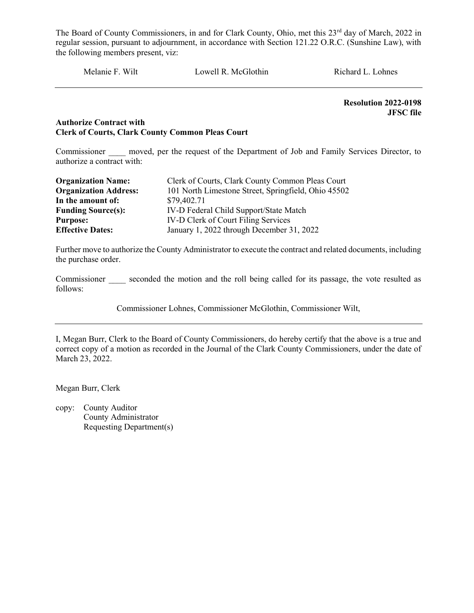Melanie F. Wilt Lowell R. McGlothin Richard L. Lohnes

Resolution 2022-0198 JFSC file

#### Authorize Contract with Clerk of Courts, Clark County Common Pleas Court

Commissioner moved, per the request of the Department of Job and Family Services Director, to authorize a contract with:

| <b>Organization Name:</b>    | Clerk of Courts, Clark County Common Pleas Court    |  |  |
|------------------------------|-----------------------------------------------------|--|--|
| <b>Organization Address:</b> | 101 North Limestone Street, Springfield, Ohio 45502 |  |  |
| In the amount of:            | \$79,402.71                                         |  |  |
| <b>Funding Source(s):</b>    | IV-D Federal Child Support/State Match              |  |  |
| <b>Purpose:</b>              | IV-D Clerk of Court Filing Services                 |  |  |
| <b>Effective Dates:</b>      | January 1, 2022 through December 31, 2022           |  |  |

Further move to authorize the County Administrator to execute the contract and related documents, including the purchase order.

Commissioner seconded the motion and the roll being called for its passage, the vote resulted as follows:

Commissioner Lohnes, Commissioner McGlothin, Commissioner Wilt,

I, Megan Burr, Clerk to the Board of County Commissioners, do hereby certify that the above is a true and correct copy of a motion as recorded in the Journal of the Clark County Commissioners, under the date of March 23, 2022.

Megan Burr, Clerk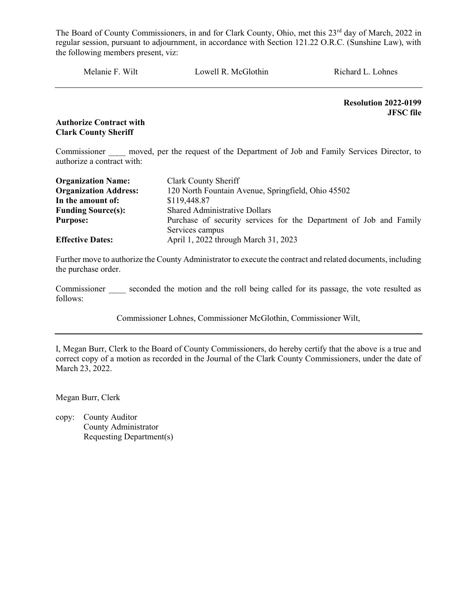Melanie F. Wilt Lowell R. McGlothin Richard L. Lohnes

Resolution 2022-0199 JFSC file

Authorize Contract with Clark County Sheriff

Commissioner moved, per the request of the Department of Job and Family Services Director, to authorize a contract with:

| <b>Organization Name:</b>    | Clark County Sheriff                                               |  |  |
|------------------------------|--------------------------------------------------------------------|--|--|
| <b>Organization Address:</b> | 120 North Fountain Avenue, Springfield, Ohio 45502                 |  |  |
| In the amount of:            | \$119,448.87                                                       |  |  |
| <b>Funding Source(s):</b>    | <b>Shared Administrative Dollars</b>                               |  |  |
| <b>Purpose:</b>              | Purchase of security services for the Department of Job and Family |  |  |
|                              | Services campus                                                    |  |  |
| <b>Effective Dates:</b>      | April 1, 2022 through March 31, 2023                               |  |  |

Further move to authorize the County Administrator to execute the contract and related documents, including the purchase order.

Commissioner seconded the motion and the roll being called for its passage, the vote resulted as follows:

Commissioner Lohnes, Commissioner McGlothin, Commissioner Wilt,

I, Megan Burr, Clerk to the Board of County Commissioners, do hereby certify that the above is a true and correct copy of a motion as recorded in the Journal of the Clark County Commissioners, under the date of March 23, 2022.

Megan Burr, Clerk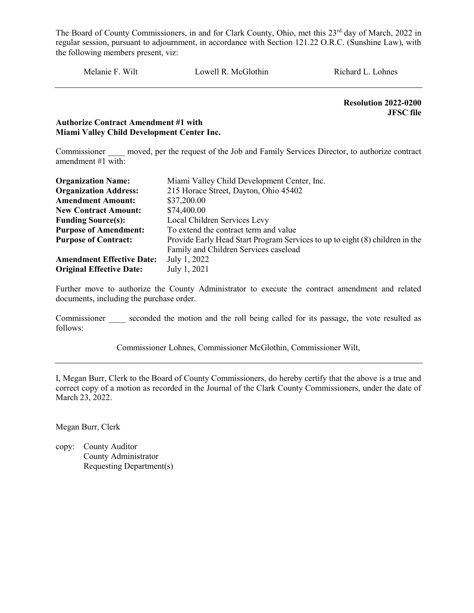Melanie F. Wilt Lowell R. McGlothin Richard L. Lohnes

 Resolution 2022-0200 JFSC file

#### Authorize Contract Amendment #1 with Miami Valley Child Development Center Inc.

Commissioner \_\_\_\_ moved, per the request of the Job and Family Services Director, to authorize contract amendment #1 with:

| <b>Organization Name:</b>        | Miami Valley Child Development Center, Inc.                                  |  |  |  |
|----------------------------------|------------------------------------------------------------------------------|--|--|--|
| <b>Organization Address:</b>     | 215 Horace Street, Dayton, Ohio 45402                                        |  |  |  |
| <b>Amendment Amount:</b>         | \$37,200.00                                                                  |  |  |  |
| <b>New Contract Amount:</b>      | \$74,400.00                                                                  |  |  |  |
| <b>Funding Source(s):</b>        | Local Children Services Levy                                                 |  |  |  |
| <b>Purpose of Amendment:</b>     | To extend the contract term and value                                        |  |  |  |
| <b>Purpose of Contract:</b>      | Provide Early Head Start Program Services to up to eight (8) children in the |  |  |  |
|                                  | Family and Children Services caseload                                        |  |  |  |
| <b>Amendment Effective Date:</b> | July 1, 2022                                                                 |  |  |  |
| <b>Original Effective Date:</b>  | July 1, 2021                                                                 |  |  |  |

Further move to authorize the County Administrator to execute the contract amendment and related documents, including the purchase order.

Commissioner seconded the motion and the roll being called for its passage, the vote resulted as follows:

Commissioner Lohnes, Commissioner McGlothin, Commissioner Wilt,

I, Megan Burr, Clerk to the Board of County Commissioners, do hereby certify that the above is a true and correct copy of a motion as recorded in the Journal of the Clark County Commissioners, under the date of March 23, 2022.

Megan Burr, Clerk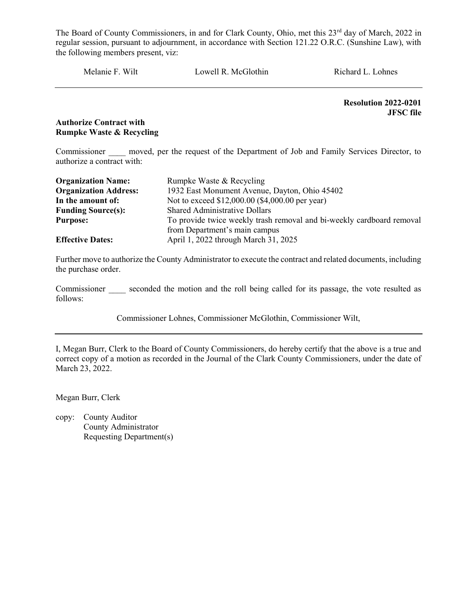Melanie F. Wilt Lowell R. McGlothin Richard L. Lohnes

Resolution 2022-0201 JFSC file

#### Authorize Contract with Rumpke Waste & Recycling

Commissioner moved, per the request of the Department of Job and Family Services Director, to authorize a contract with:

| <b>Organization Name:</b>    | Rumpke Waste & Recycling                                              |  |  |
|------------------------------|-----------------------------------------------------------------------|--|--|
| <b>Organization Address:</b> | 1932 East Monument Avenue, Dayton, Ohio 45402                         |  |  |
| In the amount of:            | Not to exceed \$12,000.00 (\$4,000.00 per year)                       |  |  |
| <b>Funding Source(s):</b>    | <b>Shared Administrative Dollars</b>                                  |  |  |
| <b>Purpose:</b>              | To provide twice weekly trash removal and bi-weekly cardboard removal |  |  |
|                              | from Department's main campus                                         |  |  |
| <b>Effective Dates:</b>      | April 1, 2022 through March 31, 2025                                  |  |  |

Further move to authorize the County Administrator to execute the contract and related documents, including the purchase order.

Commissioner seconded the motion and the roll being called for its passage, the vote resulted as follows:

Commissioner Lohnes, Commissioner McGlothin, Commissioner Wilt,

I, Megan Burr, Clerk to the Board of County Commissioners, do hereby certify that the above is a true and correct copy of a motion as recorded in the Journal of the Clark County Commissioners, under the date of March 23, 2022.

Megan Burr, Clerk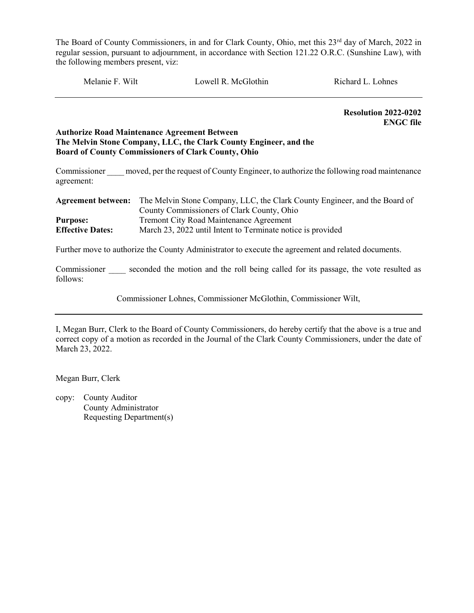Melanie F. Wilt Cowell R. McGlothin Richard L. Lohnes

Resolution 2022-0202 ENGC file

#### Authorize Road Maintenance Agreement Between The Melvin Stone Company, LLC, the Clark County Engineer, and the Board of County Commissioners of Clark County, Ohio

Commissioner moved, per the request of County Engineer, to authorize the following road maintenance agreement:

| <b>Agreement between:</b> | The Melvin Stone Company, LLC, the Clark County Engineer, and the Board of |
|---------------------------|----------------------------------------------------------------------------|
|                           | County Commissioners of Clark County, Ohio                                 |
| <b>Purpose:</b>           | <b>Tremont City Road Maintenance Agreement</b>                             |
| <b>Effective Dates:</b>   | March 23, 2022 until Intent to Terminate notice is provided                |

Further move to authorize the County Administrator to execute the agreement and related documents.

Commissioner seconded the motion and the roll being called for its passage, the vote resulted as follows:

Commissioner Lohnes, Commissioner McGlothin, Commissioner Wilt,

I, Megan Burr, Clerk to the Board of County Commissioners, do hereby certify that the above is a true and correct copy of a motion as recorded in the Journal of the Clark County Commissioners, under the date of March 23, 2022.

Megan Burr, Clerk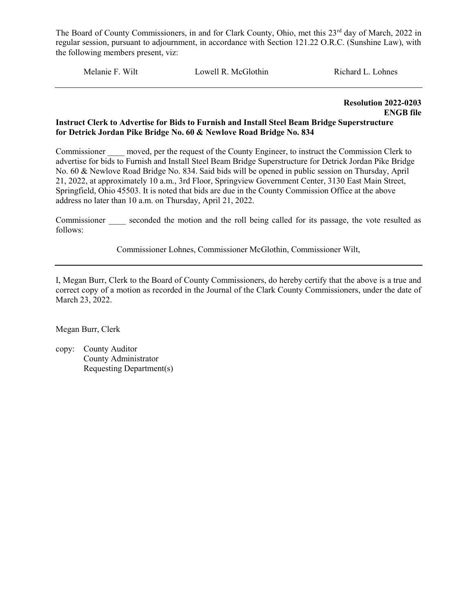Melanie F. Wilt Lowell R. McGlothin Richard L. Lohnes

Resolution 2022-0203 ENGB file

#### Instruct Clerk to Advertise for Bids to Furnish and Install Steel Beam Bridge Superstructure for Detrick Jordan Pike Bridge No. 60 & Newlove Road Bridge No. 834

Commissioner moved, per the request of the County Engineer, to instruct the Commission Clerk to advertise for bids to Furnish and Install Steel Beam Bridge Superstructure for Detrick Jordan Pike Bridge No. 60 & Newlove Road Bridge No. 834. Said bids will be opened in public session on Thursday, April 21, 2022, at approximately 10 a.m., 3rd Floor, Springview Government Center, 3130 East Main Street, Springfield, Ohio 45503. It is noted that bids are due in the County Commission Office at the above address no later than 10 a.m. on Thursday, April 21, 2022.

Commissioner seconded the motion and the roll being called for its passage, the vote resulted as follows:

Commissioner Lohnes, Commissioner McGlothin, Commissioner Wilt,

I, Megan Burr, Clerk to the Board of County Commissioners, do hereby certify that the above is a true and correct copy of a motion as recorded in the Journal of the Clark County Commissioners, under the date of March 23, 2022.

Megan Burr, Clerk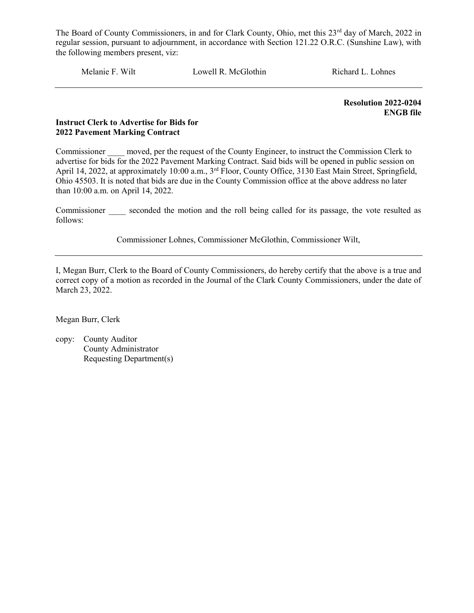Melanie F. Wilt Lowell R. McGlothin Richard L. Lohnes

Resolution 2022-0204 ENGB file

#### Instruct Clerk to Advertise for Bids for 2022 Pavement Marking Contract

Commissioner \_\_\_\_ moved, per the request of the County Engineer, to instruct the Commission Clerk to advertise for bids for the 2022 Pavement Marking Contract. Said bids will be opened in public session on April 14, 2022, at approximately 10:00 a.m., 3<sup>rd</sup> Floor, County Office, 3130 East Main Street, Springfield, Ohio 45503. It is noted that bids are due in the County Commission office at the above address no later than 10:00 a.m. on April 14, 2022.

Commissioner seconded the motion and the roll being called for its passage, the vote resulted as follows:

Commissioner Lohnes, Commissioner McGlothin, Commissioner Wilt,

I, Megan Burr, Clerk to the Board of County Commissioners, do hereby certify that the above is a true and correct copy of a motion as recorded in the Journal of the Clark County Commissioners, under the date of March 23, 2022.

Megan Burr, Clerk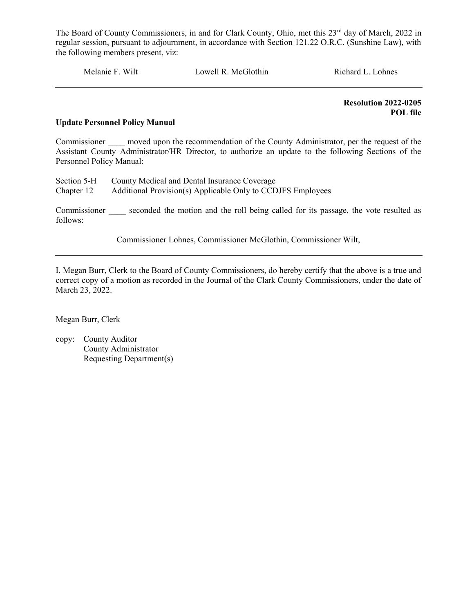Melanie F. Wilt Lowell R. McGlothin Richard L. Lohnes

Resolution 2022-0205 POL file

#### Update Personnel Policy Manual

Commissioner moved upon the recommendation of the County Administrator, per the request of the Assistant County Administrator/HR Director, to authorize an update to the following Sections of the Personnel Policy Manual:

|            | Section 5-H County Medical and Dental Insurance Coverage    |
|------------|-------------------------------------------------------------|
| Chapter 12 | Additional Provision(s) Applicable Only to CCDJFS Employees |

Commissioner seconded the motion and the roll being called for its passage, the vote resulted as follows:

Commissioner Lohnes, Commissioner McGlothin, Commissioner Wilt,

I, Megan Burr, Clerk to the Board of County Commissioners, do hereby certify that the above is a true and correct copy of a motion as recorded in the Journal of the Clark County Commissioners, under the date of March 23, 2022.

Megan Burr, Clerk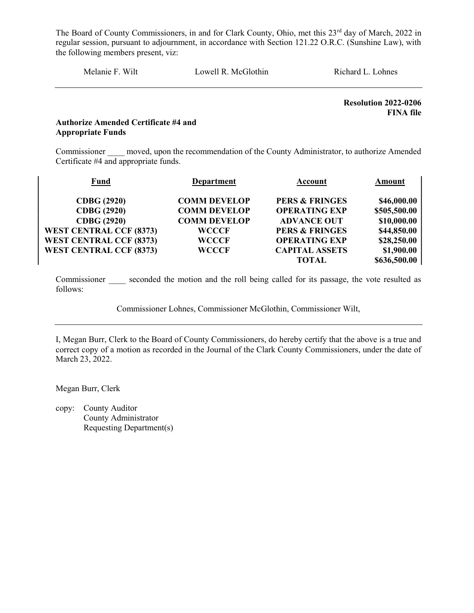Melanie F. Wilt Lowell R. McGlothin Richard L. Lohnes

Resolution 2022-0206 FINA file

#### Authorize Amended Certificate #4 and Appropriate Funds

Commissioner moved, upon the recommendation of the County Administrator, to authorize Amended Certificate #4 and appropriate funds.

| <b>Fund</b>                    | Department          | Account                   | Amount       |
|--------------------------------|---------------------|---------------------------|--------------|
|                                |                     |                           |              |
| <b>CDBG</b> (2920)             | <b>COMM DEVELOP</b> | <b>PERS &amp; FRINGES</b> | \$46,000.00  |
| <b>CDBG</b> (2920)             | <b>COMM DEVELOP</b> | <b>OPERATING EXP</b>      | \$505,500.00 |
| <b>CDBG</b> (2920)             | <b>COMM DEVELOP</b> | <b>ADVANCE OUT</b>        | \$10,000.00  |
| <b>WEST CENTRAL CCF (8373)</b> | <b>WCCCF</b>        | <b>PERS &amp; FRINGES</b> | \$44,850.00  |
| <b>WEST CENTRAL CCF (8373)</b> | <b>WCCCF</b>        | <b>OPERATING EXP</b>      | \$28,250.00  |
| <b>WEST CENTRAL CCF (8373)</b> | <b>WCCCF</b>        | <b>CAPITAL ASSETS</b>     | \$1,900.00   |
|                                |                     | TOTAL                     | \$636,500.00 |

Commissioner seconded the motion and the roll being called for its passage, the vote resulted as follows:

Commissioner Lohnes, Commissioner McGlothin, Commissioner Wilt,

I, Megan Burr, Clerk to the Board of County Commissioners, do hereby certify that the above is a true and correct copy of a motion as recorded in the Journal of the Clark County Commissioners, under the date of March 23, 2022.

Megan Burr, Clerk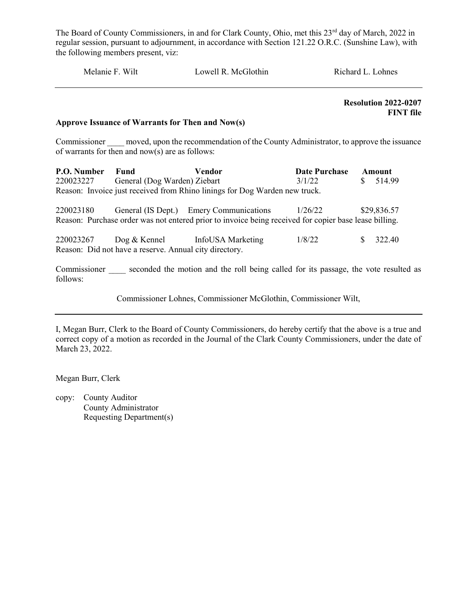| Melanie F. Wilt | Lowell R. McGlothin | Richard L. Lohnes |
|-----------------|---------------------|-------------------|
|                 |                     |                   |

 Resolution 2022-0207 FINT file

#### Approve Issuance of Warrants for Then and Now(s)

Commissioner moved, upon the recommendation of the County Administrator, to approve the issuance of warrants for then and now(s) are as follows:

| <b>P.O. Number</b> Fund |                                        | Vendor                                                                     | Date Purchase Amount |           |
|-------------------------|----------------------------------------|----------------------------------------------------------------------------|----------------------|-----------|
|                         | 220023227 General (Dog Warden) Ziebart |                                                                            | 3/1/22               | \$ 514.99 |
|                         |                                        | Reason: Invoice just received from Rhino linings for Dog Warden new truck. |                      |           |

| 220023180                                                                                             |  | General (IS Dept.) Emery Communications | 1/26/22 |  | \$29,836.57 |
|-------------------------------------------------------------------------------------------------------|--|-----------------------------------------|---------|--|-------------|
| Reason: Purchase order was not entered prior to invoice being received for copier base lease billing. |  |                                         |         |  |             |
|                                                                                                       |  |                                         |         |  |             |
| 220023267                                                                                             |  | Dog & Kennel InfoUSA Marketing          | 1/8/22  |  | \$ 322.40   |
| Reason: Did not have a reserve. Annual city directory.                                                |  |                                         |         |  |             |

Commissioner seconded the motion and the roll being called for its passage, the vote resulted as follows:

Commissioner Lohnes, Commissioner McGlothin, Commissioner Wilt,

I, Megan Burr, Clerk to the Board of County Commissioners, do hereby certify that the above is a true and correct copy of a motion as recorded in the Journal of the Clark County Commissioners, under the date of March 23, 2022.

Megan Burr, Clerk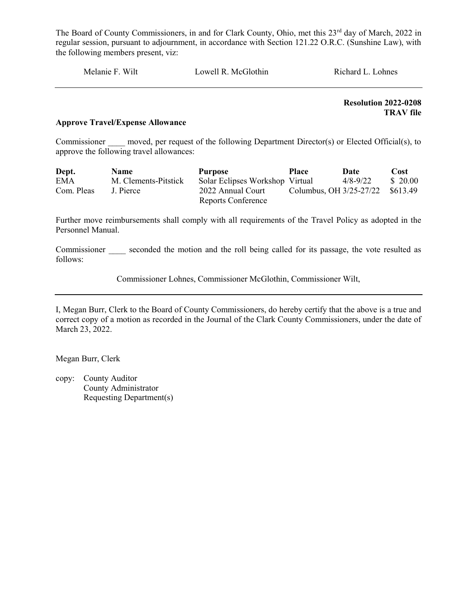Melanie F. Wilt Lowell R. McGlothin Richard L. Lohnes

 Resolution 2022-0208 TRAV file

#### Approve Travel/Expense Allowance

Commissioner moved, per request of the following Department Director(s) or Elected Official(s), to approve the following travel allowances:

| Dept.      | <b>Name</b>          | <b>Purpose</b>                  | <b>Place</b> | Date                             | Cost     |
|------------|----------------------|---------------------------------|--------------|----------------------------------|----------|
| <b>EMA</b> | M. Clements-Pitstick | Solar Eclipses Workshop Virtual |              | 4/8-9/22                         | \$ 20.00 |
| Com. Pleas | J. Pierce            | 2022 Annual Court               |              | Columbus, OH 3/25-27/22 \$613.49 |          |
|            |                      | <b>Reports Conference</b>       |              |                                  |          |

Further move reimbursements shall comply with all requirements of the Travel Policy as adopted in the Personnel Manual.

Commissioner seconded the motion and the roll being called for its passage, the vote resulted as follows:

Commissioner Lohnes, Commissioner McGlothin, Commissioner Wilt,

I, Megan Burr, Clerk to the Board of County Commissioners, do hereby certify that the above is a true and correct copy of a motion as recorded in the Journal of the Clark County Commissioners, under the date of March 23, 2022.

Megan Burr, Clerk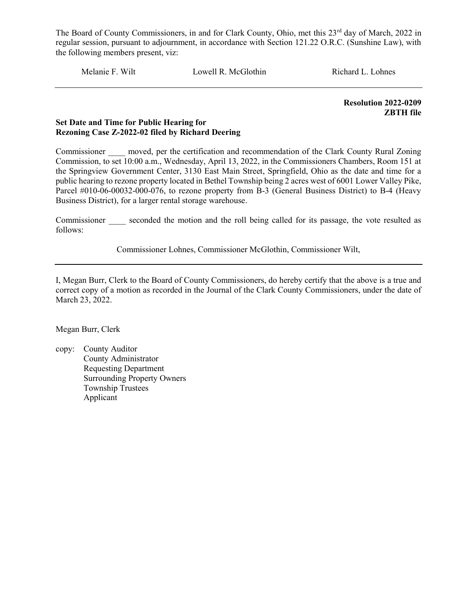Melanie F. Wilt Lowell R. McGlothin Richard L. Lohnes

 Resolution 2022-0209 ZBTH file

#### Set Date and Time for Public Hearing for Rezoning Case Z-2022-02 filed by Richard Deering

Commissioner \_\_\_\_ moved, per the certification and recommendation of the Clark County Rural Zoning Commission, to set 10:00 a.m., Wednesday, April 13, 2022, in the Commissioners Chambers, Room 151 at the Springview Government Center, 3130 East Main Street, Springfield, Ohio as the date and time for a public hearing to rezone property located in Bethel Township being 2 acres west of 6001 Lower Valley Pike, Parcel #010-06-00032-000-076, to rezone property from B-3 (General Business District) to B-4 (Heavy Business District), for a larger rental storage warehouse.

Commissioner seconded the motion and the roll being called for its passage, the vote resulted as follows:

Commissioner Lohnes, Commissioner McGlothin, Commissioner Wilt,

I, Megan Burr, Clerk to the Board of County Commissioners, do hereby certify that the above is a true and correct copy of a motion as recorded in the Journal of the Clark County Commissioners, under the date of March 23, 2022.

Megan Burr, Clerk

copy: County Auditor County Administrator Requesting Department Surrounding Property Owners Township Trustees Applicant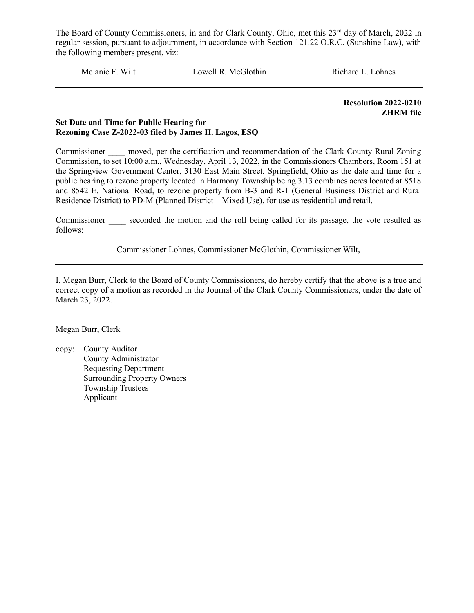Melanie F. Wilt Lowell R. McGlothin Richard L. Lohnes

 Resolution 2022-0210 ZHRM file

#### Set Date and Time for Public Hearing for Rezoning Case Z-2022-03 filed by James H. Lagos, ESQ

Commissioner moved, per the certification and recommendation of the Clark County Rural Zoning Commission, to set 10:00 a.m., Wednesday, April 13, 2022, in the Commissioners Chambers, Room 151 at the Springview Government Center, 3130 East Main Street, Springfield, Ohio as the date and time for a public hearing to rezone property located in Harmony Township being 3.13 combines acres located at 8518 and 8542 E. National Road, to rezone property from B-3 and R-1 (General Business District and Rural Residence District) to PD-M (Planned District – Mixed Use), for use as residential and retail.

Commissioner seconded the motion and the roll being called for its passage, the vote resulted as follows:

Commissioner Lohnes, Commissioner McGlothin, Commissioner Wilt,

I, Megan Burr, Clerk to the Board of County Commissioners, do hereby certify that the above is a true and correct copy of a motion as recorded in the Journal of the Clark County Commissioners, under the date of March 23, 2022.

Megan Burr, Clerk

copy: County Auditor County Administrator Requesting Department Surrounding Property Owners Township Trustees Applicant